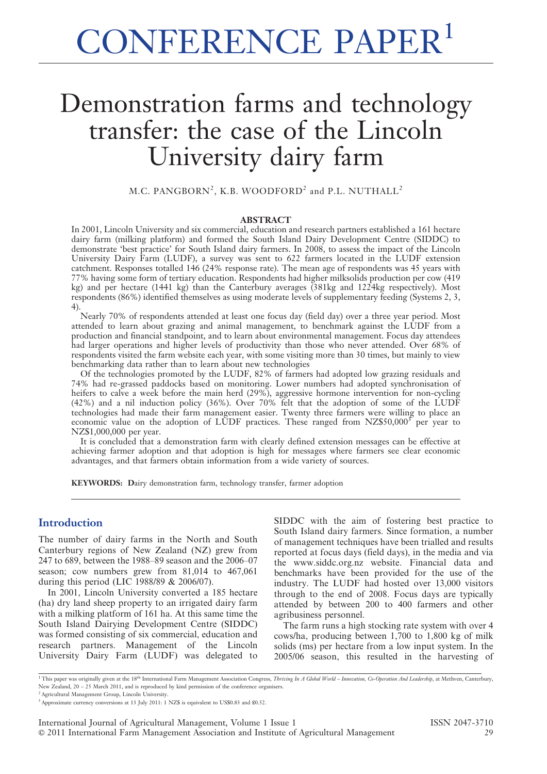# CONFERENCE PAPER<sup>1</sup>

# Demonstration farms and technology transfer: the case of the Lincoln University dairy farm

M.C. PANGBORN<sup>2</sup>, K.B. WOODFORD<sup>2</sup> and P.L. NUTHALL<sup>2</sup>

#### ABSTRACT

In 2001, Lincoln University and six commercial, education and research partners established a 161 hectare dairy farm (milking platform) and formed the South Island Dairy Development Centre (SIDDC) to demonstrate 'best practice' for South Island dairy farmers. In 2008, to assess the impact of the Lincoln University Dairy Farm (LUDF), a survey was sent to 622 farmers located in the LUDF extension catchment. Responses totalled 146 (24% response rate). The mean age of respondents was 45 years with 77% having some form of tertiary education. Respondents had higher milksolids production per cow (419 kg) and per hectare (1441 kg) than the Canterbury averages (381kg and 1224kg respectively). Most respondents (86%) identified themselves as using moderate levels of supplementary feeding (Systems 2, 3, 4).

Nearly 70% of respondents attended at least one focus day (field day) over a three year period. Most attended to learn about grazing and animal management, to benchmark against the LUDF from a production and financial standpoint, and to learn about environmental management. Focus day attendees had larger operations and higher levels of productivity than those who never attended. Over 68% of respondents visited the farm website each year, with some visiting more than 30 times, but mainly to view benchmarking data rather than to learn about new technologies

Of the technologies promoted by the LUDF, 82% of farmers had adopted low grazing residuals and 74% had re-grassed paddocks based on monitoring. Lower numbers had adopted synchronisation of heifers to calve a week before the main herd  $(29%)$ , aggressive hormone intervention for non-cycling (42%) and a nil induction policy (36%). Over 70% felt that the adoption of some of the LUDF technologies had made their farm management easier. Twenty three farmers were willing to place an economic value on the adoption of LUDF practices. These ranged from NZ\$50,000<sup>3</sup> per year to NZ\$1,000,000 per year.

It is concluded that a demonstration farm with clearly defined extension messages can be effective at achieving farmer adoption and that adoption is high for messages where farmers see clear economic advantages, and that farmers obtain information from a wide variety of sources.

KEYWORDS: Dairy demonstration farm, technology transfer, farmer adoption

# **Introduction**

The number of dairy farms in the North and South Canterbury regions of New Zealand (NZ) grew from 247 to 689, between the 1988–89 season and the 2006–07 season; cow numbers grew from 81,014 to 467,061 during this period (LIC 1988/89 & 2006/07).

In 2001, Lincoln University converted a 185 hectare (ha) dry land sheep property to an irrigated dairy farm with a milking platform of 161 ha. At this same time the South Island Dairying Development Centre (SIDDC) was formed consisting of six commercial, education and research partners. Management of the Lincoln University Dairy Farm (LUDF) was delegated to

SIDDC with the aim of fostering best practice to South Island dairy farmers. Since formation, a number of management techniques have been trialled and results reported at focus days (field days), in the media and via the www.siddc.org.nz website. Financial data and benchmarks have been provided for the use of the industry. The LUDF had hosted over 13,000 visitors through to the end of 2008. Focus days are typically attended by between 200 to 400 farmers and other agribusiness personnel.

The farm runs a high stocking rate system with over 4 cows/ha, producing between 1,700 to 1,800 kg of milk solids (ms) per hectare from a low input system. In the 2005/06 season, this resulted in the harvesting of

<sup>1</sup> This paper was originally given at the 18<sup>th</sup> International Farm Management Association Congress, Thriving In A Global World – Innovation, Co-Operation And Leadership, at Methven, Canterbury, New Zealand, 20 – 25 March 2011, and is reproduced by kind permission of the conference organisers.

<sup>2</sup>Agricultural Management Group, Lincoln University.

 $3$ <sup>3</sup> Approximate currency conversions at 13 July 2011: 1 NZ\$ is equivalent to US\$0.83 and £0.52.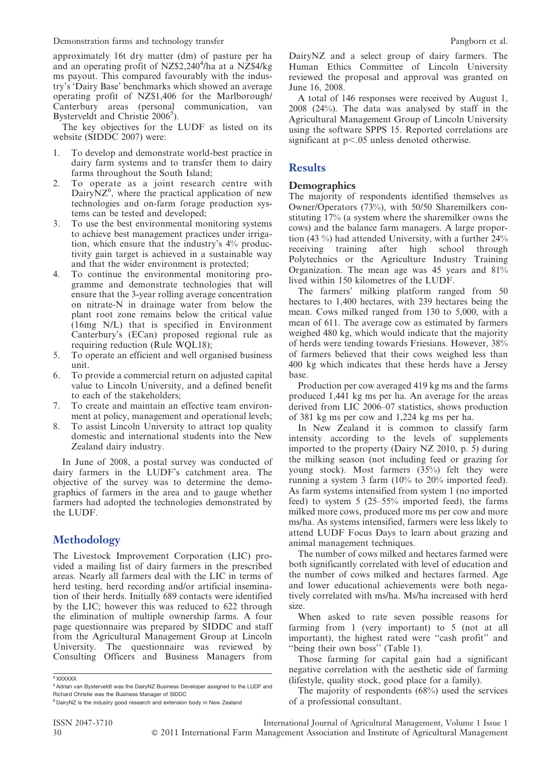Demonstration farms and technology transfer **Pangborn et al.** Pangborn et al.

approximately 16t dry matter (dm) of pasture per ha and an operating profit of NZ\$2,240<sup>4</sup>/ha at a NZ\$4/kg ms payout. This compared favourably with the industry's 'Dairy Base' benchmarks which showed an average operating profit of NZ\$1,406 for the Marlborough/ Canterbury areas (personal communication, van Bysterveldt and Christie 2006<sup>5</sup>).

The key objectives for the LUDF as listed on its website (SIDDC 2007) were:

- 1. To develop and demonstrate world-best practice in dairy farm systems and to transfer them to dairy farms throughout the South Island;
- 2. To operate as a joint research centre with Dairy $NZ^6$ , where the practical application of new technologies and on-farm forage production systems can be tested and developed;
- 3. To use the best environmental monitoring systems to achieve best management practices under irrigation, which ensure that the industry's 4% productivity gain target is achieved in a sustainable way and that the wider environment is protected;
- 4. To continue the environmental monitoring programme and demonstrate technologies that will ensure that the 3-year rolling average concentration on nitrate-N in drainage water from below the plant root zone remains below the critical value (16mg N/L) that is specified in Environment Canterbury's (ECan) proposed regional rule as requiring reduction (Rule WQL18);
- 5. To operate an efficient and well organised business unit.
- 6. To provide a commercial return on adjusted capital value to Lincoln University, and a defined benefit to each of the stakeholders;
- 7. To create and maintain an effective team environment at policy, management and operational levels;
- 8. To assist Lincoln University to attract top quality domestic and international students into the New Zealand dairy industry.

In June of 2008, a postal survey was conducted of dairy farmers in the LUDF's catchment area. The objective of the survey was to determine the demographics of farmers in the area and to gauge whether farmers had adopted the technologies demonstrated by the LUDF.

# **Methodology**

The Livestock Improvement Corporation (LIC) provided a mailing list of dairy farmers in the prescribed areas. Nearly all farmers deal with the LIC in terms of herd testing, herd recording and/or artificial insemination of their herds. Initially 689 contacts were identified by the LIC; however this was reduced to 622 through the elimination of multiple ownership farms. A four page questionnaire was prepared by SIDDC and staff from the Agricultural Management Group at Lincoln University. The questionnaire was reviewed by Consulting Officers and Business Managers from

<sup>4</sup> XXXXXX

ISSN 2047-3710 International Journal of Agricultural Management, Volume 1 Issue 1 30 ' 2011 International Farm Management Association and Institute of Agricultural Management

DairyNZ and a select group of dairy farmers. The Human Ethics Committee of Lincoln University reviewed the proposal and approval was granted on June 16, 2008.

A total of 146 responses were received by August 1, 2008 (24%). The data was analysed by staff in the Agricultural Management Group of Lincoln University using the software SPPS 15. Reported correlations are significant at  $p<.05$  unless denoted otherwise.

# **Results**

## **Demographics**

The majority of respondents identified themselves as Owner/Operators (73%), with 50/50 Sharemilkers constituting  $17%$  (a system where the sharemilker owns the cows) and the balance farm managers. A large proportion (43 %) had attended University, with a further 24% receiving training after high school through Polytechnics or the Agriculture Industry Training Organization. The mean age was 45 years and 81% lived within 150 kilometres of the LUDF.

The farmers' milking platform ranged from 50 hectares to 1,400 hectares, with 239 hectares being the mean. Cows milked ranged from 130 to 5,000, with a mean of 611. The average cow as estimated by farmers weighed 480 kg, which would indicate that the majority of herds were tending towards Friesians. However, 38% of farmers believed that their cows weighed less than 400 kg which indicates that these herds have a Jersey base.

Production per cow averaged 419 kg ms and the farms produced 1,441 kg ms per ha. An average for the areas derived from LIC 2006–07 statistics, shows production of 381 kg ms per cow and 1,224 kg ms per ha.

In New Zealand it is common to classify farm intensity according to the levels of supplements imported to the property (Dairy NZ 2010, p. 5) during the milking season (not including feed or grazing for young stock). Most farmers (35%) felt they were running a system 3 farm (10% to 20% imported feed). As farm systems intensified from system 1 (no imported feed) to system 5 (25–55% imported feed), the farms milked more cows, produced more ms per cow and more ms/ha. As systems intensified, farmers were less likely to attend LUDF Focus Days to learn about grazing and animal management techniques.

The number of cows milked and hectares farmed were both significantly correlated with level of education and the number of cows milked and hectares farmed. Age and lower educational achievements were both negatively correlated with ms/ha. Ms/ha increased with herd size.

When asked to rate seven possible reasons for farming from 1 (very important) to 5 (not at all important), the highest rated were ''cash profit'' and ''being their own boss'' (Table 1).

Those farming for capital gain had a significant negative correlation with the aesthetic side of farming (lifestyle, quality stock, good place for a family).

The majority of respondents (68%) used the services of a professional consultant.

<sup>&</sup>lt;sup>5</sup> Adrian van Bysterveldt was the DairyNZ Business Developer assigned to the LUDF and Richard Christie was the Business Manager of SIDDC

<sup>&</sup>lt;sup>6</sup> DairyNZ is the industry good research and extension body in New Zealand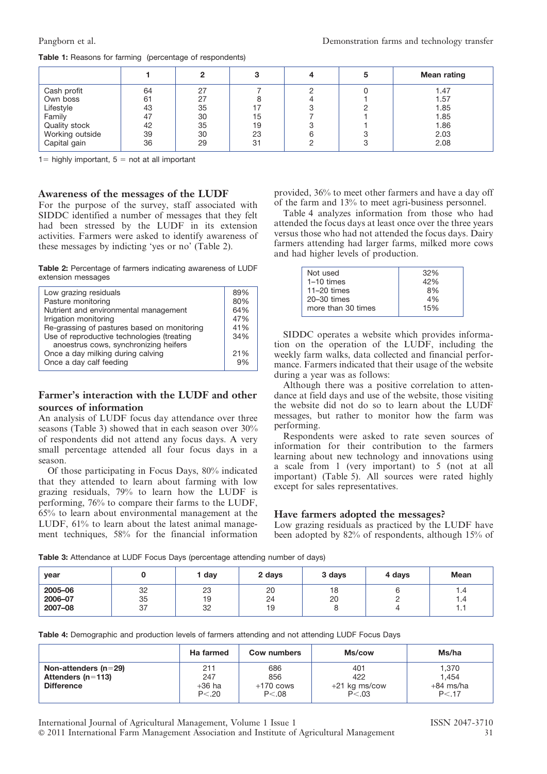#### 1 2 3 4 5 Mean rating Cash profit (  $\begin{array}{|c|c|c|c|c|c|c|c|} \hline \end{array}$  64 | 27 | 7 | 2 | 0 | 1.47 Own boss | 61 | 27 | 8 | 4 | 1 | 1.57 Lifestyle | 43 | 35 | 17 | 3 | 2 | 1.85 Family | 47 | 30 | 15 | 7 | 1 | 1.85 quality stock  $\begin{array}{|c|c|c|c|c|c|c|}\n\hline\n\text{Quality stock} & 42 & 35 & 19 & 3 & 1 & 1.86 \\
\text{Working outside} & 39 & 30 & 23 & 6 & 3 & 2.03\n\end{array}$ Vorking outside  $\begin{array}{|c|c|c|c|c|c|c|c|} \hline 39 & 30 & 23 & 6 & 3 & 2.03 \\ \hline \text{Capital gain} & 36 & 29 & 31 & 2 & 3 & 2.08 \\ \hline \end{array}$ Capital gain | 36 | 29 | 31 | 2 | 3 | 2.08

#### Table 1: Reasons for farming (percentage of respondents)

 $1=$  highly important,  $5=$  not at all important

#### Awareness of the messages of the LUDF

For the purpose of the survey, staff associated with SIDDC identified a number of messages that they felt had been stressed by the LUDF in its extension activities. Farmers were asked to identify awareness of these messages by indicting 'yes or no' (Table 2).

Table 2: Percentage of farmers indicating awareness of LUDF extension messages

| Low grazing residuals                       | 89% |
|---------------------------------------------|-----|
| Pasture monitoring                          | 80% |
| Nutrient and environmental management       | 64% |
| Irrigation monitoring                       | 47% |
| Re-grassing of pastures based on monitoring | 41% |
| Use of reproductive technologies (treating  | 34% |
| anoestrus cows, synchronizing heifers       |     |
| Once a day milking during calving           | 21% |
| Once a day calf feeding                     | 9%  |
|                                             |     |

# Farmer's interaction with the LUDF and other sources of information

An analysis of LUDF focus day attendance over three seasons (Table 3) showed that in each season over 30% of respondents did not attend any focus days. A very small percentage attended all four focus days in a season.

Of those participating in Focus Days, 80% indicated that they attended to learn about farming with low grazing residuals, 79% to learn how the LUDF is performing, 76% to compare their farms to the LUDF, 65% to learn about environmental management at the LUDF, 61% to learn about the latest animal management techniques, 58% for the financial information provided, 36% to meet other farmers and have a day off of the farm and 13% to meet agri-business personnel.

Table 4 analyzes information from those who had attended the focus days at least once over the three years versus those who had not attended the focus days. Dairy farmers attending had larger farms, milked more cows and had higher levels of production.

| Not used           | 32% |
|--------------------|-----|
| $1-10$ times       | 42% |
| $11-20$ times      | 8%  |
| $20 - 30$ times    | 4%  |
| more than 30 times | 15% |
|                    |     |

SIDDC operates a website which provides information on the operation of the LUDF, including the weekly farm walks, data collected and financial performance. Farmers indicated that their usage of the website during a year was as follows:

Although there was a positive correlation to attendance at field days and use of the website, those visiting the website did not do so to learn about the LUDF messages, but rather to monitor how the farm was performing.

Respondents were asked to rate seven sources of information for their contribution to the farmers learning about new technology and innovations using a scale from 1 (very important) to 5 (not at all important) (Table 5). All sources were rated highly except for sales representatives.

## Have farmers adopted the messages?

Low grazing residuals as practiced by the LUDF have been adopted by 82% of respondents, although 15% of

Table 3: Attendance at LUDF Focus Days (percentage attending number of days)

| year                          |                | day            | 2 days         | 3 days   | 4 days | <b>Mean</b>              |
|-------------------------------|----------------|----------------|----------------|----------|--------|--------------------------|
| 2005-06<br>2006-07<br>2007-08 | 32<br>35<br>37 | 23<br>19<br>32 | 20<br>24<br>19 | 18<br>20 |        | 1.4<br>1.4<br>-4<br>ı. I |

Table 4: Demographic and production levels of farmers attending and not attending LUDF Focus Days

|                                                                          | Ha farmed                       | <b>Cow numbers</b>                    | Ms/cow                                    | Ms/ha                                   |
|--------------------------------------------------------------------------|---------------------------------|---------------------------------------|-------------------------------------------|-----------------------------------------|
| Non-attenders ( $n=29$ )<br>Attenders ( $n = 113$ )<br><b>Difference</b> | 211<br>247<br>+36 ha<br>P < .20 | 686<br>856<br>$+170$ cows<br>P < 0.08 | 401<br>422<br>$+21$ kg ms/cow<br>P < 0.03 | 1,370<br>1.454<br>$+84$ ms/ha<br>P < 17 |

International Journal of Agricultural Management, Volume 1 Issue 1 ISSN 2047-3710 ' 2011 International Farm Management Association and Institute of Agricultural Management 31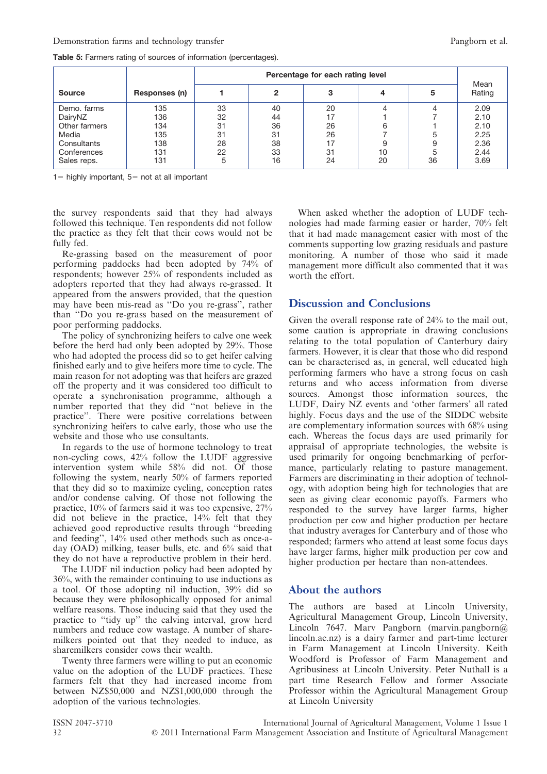|               |               | Percentage for each rating level |    |    |    |    |                |
|---------------|---------------|----------------------------------|----|----|----|----|----------------|
| <b>Source</b> | Responses (n) |                                  | 2  |    |    |    | Mean<br>Rating |
| Demo, farms   | 135           | 33                               | 40 | 20 |    |    | 2.09           |
| DairyNZ       | 136           | 32                               | 44 | 17 |    |    | 2.10           |
| Other farmers | 134           | 31                               | 36 | 26 | 6  |    | 2.10           |
| Media         | 135           | 31                               | 31 | 26 |    | 5  | 2.25           |
| Consultants   | 138           | 28                               | 38 | 17 | 9  | 9  | 2.36           |
| Conferences   | 131           | 22                               | 33 | 31 | 10 | 5  | 2.44           |
| Sales reps.   | 131           |                                  | 16 | 24 | 20 | 36 | 3.69           |

Table 5: Farmers rating of sources of information (percentages).

 $1=$  highly important,  $5=$  not at all important

the survey respondents said that they had always followed this technique. Ten respondents did not follow the practice as they felt that their cows would not be fully fed.

Re-grassing based on the measurement of poor performing paddocks had been adopted by 74% of respondents; however 25% of respondents included as adopters reported that they had always re-grassed. It appeared from the answers provided, that the question may have been mis-read as ''Do you re-grass'', rather than ''Do you re-grass based on the measurement of poor performing paddocks.

The policy of synchronizing heifers to calve one week before the herd had only been adopted by 29%. Those who had adopted the process did so to get heifer calving finished early and to give heifers more time to cycle. The main reason for not adopting was that heifers are grazed off the property and it was considered too difficult to operate a synchronisation programme, although a number reported that they did ''not believe in the practice''. There were positive correlations between synchronizing heifers to calve early, those who use the website and those who use consultants.

In regards to the use of hormone technology to treat non-cycling cows, 42% follow the LUDF aggressive intervention system while 58% did not. Of those following the system, nearly 50% of farmers reported that they did so to maximize cycling, conception rates and/or condense calving. Of those not following the practice, 10% of farmers said it was too expensive, 27% did not believe in the practice, 14% felt that they achieved good reproductive results through ''breeding and feeding'', 14% used other methods such as once-aday (OAD) milking, teaser bulls, etc. and 6% said that they do not have a reproductive problem in their herd.

The LUDF nil induction policy had been adopted by 36%, with the remainder continuing to use inductions as a tool. Of those adopting nil induction, 39% did so because they were philosophically opposed for animal welfare reasons. Those inducing said that they used the practice to ''tidy up'' the calving interval, grow herd numbers and reduce cow wastage. A number of sharemilkers pointed out that they needed to induce, as sharemilkers consider cows their wealth.

Twenty three farmers were willing to put an economic value on the adoption of the LUDF practices. These farmers felt that they had increased income from between NZ\$50,000 and NZ\$1,000,000 through the adoption of the various technologies.

When asked whether the adoption of LUDF technologies had made farming easier or harder, 70% felt that it had made management easier with most of the comments supporting low grazing residuals and pasture monitoring. A number of those who said it made management more difficult also commented that it was worth the effort.

# Discussion and Conclusions

Given the overall response rate of 24% to the mail out, some caution is appropriate in drawing conclusions relating to the total population of Canterbury dairy farmers. However, it is clear that those who did respond can be characterised as, in general, well educated high performing farmers who have a strong focus on cash returns and who access information from diverse sources. Amongst those information sources, the LUDF, Dairy NZ events and 'other farmers' all rated highly. Focus days and the use of the SIDDC website are complementary information sources with 68% using each. Whereas the focus days are used primarily for appraisal of appropriate technologies, the website is used primarily for ongoing benchmarking of performance, particularly relating to pasture management. Farmers are discriminating in their adoption of technology, with adoption being high for technologies that are seen as giving clear economic payoffs. Farmers who responded to the survey have larger farms, higher production per cow and higher production per hectare that industry averages for Canterbury and of those who responded; farmers who attend at least some focus days have larger farms, higher milk production per cow and higher production per hectare than non-attendees.

# About the authors

The authors are based at Lincoln University, Agricultural Management Group, Lincoln University, Lincoln 7647. Marv Pangborn (marvin.pangborn@ lincoln.ac.nz) is a dairy farmer and part-time lecturer in Farm Management at Lincoln University. Keith Woodford is Professor of Farm Management and Agribusiness at Lincoln University. Peter Nuthall is a part time Research Fellow and former Associate Professor within the Agricultural Management Group at Lincoln University